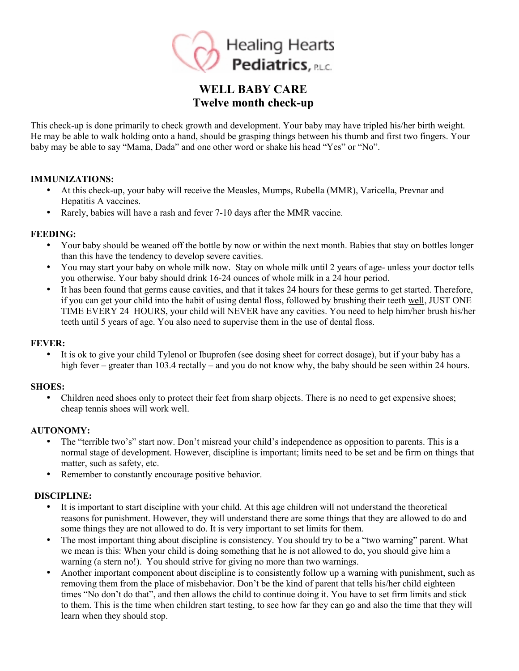

# **WELL BABY CARE Twelve month check-up**

This check-up is done primarily to check growth and development. Your baby may have tripled his/her birth weight. He may be able to walk holding onto a hand, should be grasping things between his thumb and first two fingers. Your baby may be able to say "Mama, Dada" and one other word or shake his head "Yes" or "No".

## **IMMUNIZATIONS:**

- At this check-up, your baby will receive the Measles, Mumps, Rubella (MMR), Varicella, Prevnar and Hepatitis A vaccines.
- Rarely, babies will have a rash and fever 7-10 days after the MMR vaccine.

#### **FEEDING:**

- Your baby should be weaned off the bottle by now or within the next month. Babies that stay on bottles longer than this have the tendency to develop severe cavities.
- You may start your baby on whole milk now. Stay on whole milk until 2 years of age- unless your doctor tells you otherwise. Your baby should drink 16-24 ounces of whole milk in a 24 hour period.
- It has been found that germs cause cavities, and that it takes 24 hours for these germs to get started. Therefore, if you can get your child into the habit of using dental floss, followed by brushing their teeth well, JUST ONE TIME EVERY 24 HOURS, your child will NEVER have any cavities. You need to help him/her brush his/her teeth until 5 years of age. You also need to supervise them in the use of dental floss.

#### **FEVER:**

• It is ok to give your child Tylenol or Ibuprofen (see dosing sheet for correct dosage), but if your baby has a high fever – greater than 103.4 rectally – and you do not know why, the baby should be seen within 24 hours.

## **SHOES:**

• Children need shoes only to protect their feet from sharp objects. There is no need to get expensive shoes; cheap tennis shoes will work well.

#### **AUTONOMY:**

- The "terrible two's" start now. Don't misread your child's independence as opposition to parents. This is a normal stage of development. However, discipline is important; limits need to be set and be firm on things that matter, such as safety, etc.
- Remember to constantly encourage positive behavior.

## **DISCIPLINE:**

- It is important to start discipline with your child. At this age children will not understand the theoretical reasons for punishment. However, they will understand there are some things that they are allowed to do and some things they are not allowed to do. It is very important to set limits for them.
- The most important thing about discipline is consistency. You should try to be a "two warning" parent. What we mean is this: When your child is doing something that he is not allowed to do, you should give him a warning (a stern no!). You should strive for giving no more than two warnings.
- Another important component about discipline is to consistently follow up a warning with punishment, such as removing them from the place of misbehavior. Don't be the kind of parent that tells his/her child eighteen times "No don't do that", and then allows the child to continue doing it. You have to set firm limits and stick to them. This is the time when children start testing, to see how far they can go and also the time that they will learn when they should stop.